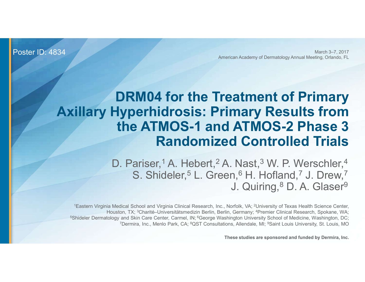Poster ID: 4834

March 3–7, 2017 American Academy of Dermatology Annual Meeting, Orlando, FL

# DRM04 for the Treatment of Primary Axillary Hyperhidrosis: Primary Results from the ATMOS-1 and ATMOS-2 Phase 3 Randomized Controlled Trials **EXECUTE: THE STRAIGHT AND HOUST THE SURVEY OF SAMULT AND S-2 Phase 3**<br> **Randomized Controlled Trials**<br>
D. Pariser,<sup>1</sup> A. Hebert,<sup>2</sup> A. Nast,<sup>3</sup> W. P. Werschler,<sup>4</sup><br>
S. Shideler,<sup>5</sup> L. Green, <sup>6</sup> H. Hofland,<sup>7</sup> J. Drew,<sup>7</sup>

D. Pariser,<sup>1</sup> A. Hebert,<sup>2</sup> A. Nast,<sup>3</sup> W. P. Werschler,<sup>4</sup> S. Shideler,<sup>5</sup> L. Green,<sup>6</sup> H. Hofland,<sup>7</sup> J. Drew,<sup>7</sup> J. Quiring, <sup>8</sup> D. A. Glaser<sup>9</sup>

1Eastern Virginia Medical School and Virginia Clinical Research, Inc., Norfolk, VA; 2University of Texas Health Science Center, <sup>5</sup>Shideler Dermatology and Skin Care Center, Carmel, IN; <sup>6</sup>George Washington University School of Medicine, Washington, DC; 7Dermira, Inc., Menlo Park, CA; 8QST Consultations, Allendale, MI; 9Saint Louis University, St. Louis, MO

These studies are sponsored and funded by Dermira, Inc.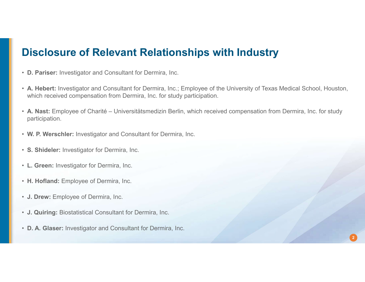# Disclosure of Relevant Relationships with Industry

- D. Pariser: Investigator and Consultant for Dermira, Inc.
- A. Hebert: Investigator and Consultant for Dermira, Inc.; Employee of the University of Texas Medical School, Houston, which received compensation from Dermira, Inc. for study participation.
- **Disclosure of Relevant Relationships with Industry**<br>
 D. Pariser: Investigator and Consultant for Dermira, Inc.<br>
 A. Hebert: Investigator and Consultant for Dermira, Inc.; Employee of the University of Texas Medical Sch participation. • J. Drew: Employee of Charité – Universitätsmedizin Berlin, which received compendicipation.<br>• W. P. Werschler: Investigator and Consultant for Dermira, Inc.<br>• S. Shideler: Investigator for Dermira, Inc.<br>• L. Green: Inves

- W. P. Werschler: Investigator and Consultant for Dermira, Inc.
- S. Shideler: Investigator for Dermira, Inc.
- L. Green: Investigator for Dermira, Inc.
- H. Hofland: Employee of Dermira, Inc.
- J. Drew: Employee of Dermira, Inc.
- 
-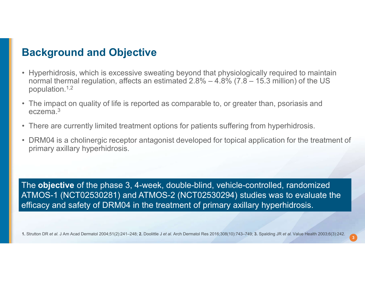# Background and Objective

- **Background and Objective**<br>• Hyperhidrosis, which is excessive sweating beyond that physiologically required to maintain<br>normal thermal regulation, affects an estimated 2.8%  $-$  4.8% (7.8  $-$  15.3 million) of the US<br>popul **ackground and Objective**<br>
Hyperhidrosis, which is excessive sweating beyond that physiologically required to maintain<br>
normal thermal regulation, affects an estimated 2.8% – 4.8% (7.8 – 15.3 million) of the US<br>
The impac population. $1,2$ **Background and Objective**<br>• Hyperhidrosis, which is excessive sweating beyond that physiologically required to maintain<br>normal thermal regulation, affects an estimated 2.8% – 4.8% (7.8 – 15.3 million) of the US<br>• The imp **Background and Objective**<br>• Hyperhidrosis, which is excessive sweating beyond that physiologically required to maintain<br>normal thermal regulation, affects an estimated 2.8% – 4.8% (7.8 – 15.3 million) of the US<br>• The imp **Background and Objective**<br>• Hyperhidrosis, which is excessive sweating beyond that physiologically required to maintain<br>normal thermal regulation, affects an estimated 2.8%  $-4.8\%$  (7.8  $-$  15.3 million) of the US<br>• The
- eczema.3
- 
- primary axillary hyperhidrosis.

• There are currently limited treatment options for patients suffering from hyperhidrosis.<br>• DRM04 is a cholinergic receptor antagonist developed for topical application for the treatment of primary axillary hyperhidrosi The objective of the phase 3, 4-week, double-blind, vehicle-controlled, randomized ATMOS-1 (NCT02530281) and ATMOS-2 (NCT02530294) studies was to evaluate the efficacy and safety of DRM04 in the treatment of primary axillary hyperhidrosis.

3 ) –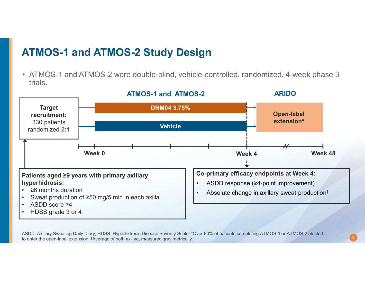# ATMOS-1 and ATMOS-2 Study Design

trials.



ASDD: Axillary Sweating Daily Diary; HDSS: Hyperhidrosis Disease Severity Scale. \*Over 80% of patients completing ATMOS-1 or ATMOS-2 elected to enter the open-label extension. †Average of both axillae, measured gravimetrically.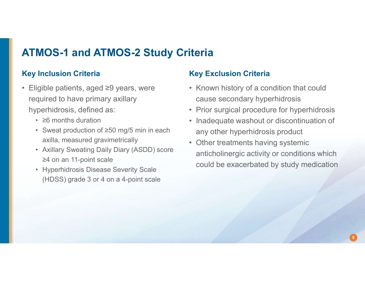# ATMOS-1 and ATMOS-2 Study Criteria

### Key Inclusion Criteria

- **ATMOS-1 and ATMOS-2 Study Crite**<br> **Eligible patients, aged ≥9 years, were**<br>
 Eligible patients, aged ≥9 years, were<br>
required to have primary axillary<br>
hyperhidrosis, defined as:<br>
 Compute dentis required to have primary axillary hyperhidrosis, defined as: **MOS-1 and ATMOS-2 Study Crit<br>
Inclusion Criteria Kigible patients, aged ≥9 years, were<br>
quired to have primary axillary<br>
perhidrosis, defined as:<br>
• ≥6 months duration<br>
• Sweat production of ≥50 mg/5 min in each<br>
axilla, MOS-1 and ATMOS-2 Study Criteria**<br> **Inclusion Criteria**<br>
igible patients, aged ≥9 years, were<br>
quired to have primary axillary<br>
perhidrosis, defined as:<br>
• ≥6 months duration<br>
• Sweat production of ≥50 mg/5 min in each<br> **MOS-1 and ATMOS-2 Study Criteria**<br>
igible patients, aged  $\geq 9$  years, were<br>
equired to have primary axillary<br>
perhidrosis, defined as:<br>
•  $\geq 8$  months duration<br>
• Sweat production of  $\geq 50$  mg/5 min in each<br>
• Swea **MOS-1 and ATMOS-2 Study Crite**<br> **Inclusion Criteria**<br>
igible patients, aged  $\geq$ 9 years, were<br>
quired to have primary axillary<br>
reperhidrosis, defined as:<br>
•  $\geq$ 6 months duration<br>
• Sweat production of  $\geq$ 50 mg/5 mi
	-
	- axilla, measured gravimetrically **accord of the example of the relationship of the example of the example of the example and example and the example and axilla, measured and axil and axil and axil and axil and axil and axi**
	- ≥4 on an 11-point scale
	- (HDSS) grade 3 or 4 on a 4-point scale

### Key Exclusion Criteria

- **Exclusion Criteria<br>• Known history of a condition that could<br>• Couse secondary hyperhidrosis<br>• Prior surgical procedure for hyperhidrosis** cause secondary hyperhidrosis
- 
- **iteria**<br>• Known history of a condition that could<br>• Chown history of a condition that could<br>• Prior surgical procedure for hyperhidrosis<br>• Inadequate washout or discontinuation of<br>• any other hyperhidrosis product **Fierria**<br> **Exclusion Criteria**<br>
• Known history of a condition that could<br>
cause secondary hyperhidrosis<br>
• Prior surgical procedure for hyperhidrosis<br>
• Inadequate washout or discontinuation of<br>
any other hyperhidrosis p any other hyperhidrosis product
- **Exclusion Criteria**<br>
 Known history of a condition that could<br>
cause secondary hyperhidrosis<br>
 Prior surgical procedure for hyperhidrosis<br>
 Inadequate washout or discontinuation of<br>
any other hyperhidrosis product<br>
 O anticholinergic activity or conditions which could be exacerbated by study medication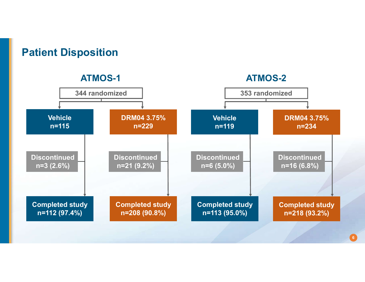

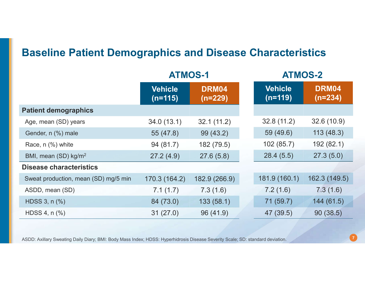# Baseline Patient Demographics and Disease Characteristics

| <b>Baseline Patient Demographics and Disease Characteristics</b> |                             |                  |                             |                  |  |
|------------------------------------------------------------------|-----------------------------|------------------|-----------------------------|------------------|--|
|                                                                  | <b>ATMOS-1</b>              |                  | <b>ATMOS-2</b>              |                  |  |
|                                                                  | <b>Vehicle</b><br>$(n=115)$ | DRM04<br>(n=229) | <b>Vehicle</b><br>$(n=119)$ | DRM04<br>(n=234) |  |
| <b>Patient demographics</b>                                      |                             |                  |                             |                  |  |
| Age, mean (SD) years                                             | 34.0(13.1)                  | 32.1(11.2)       | 32.8(11.2)                  | 32.6(10.9)       |  |
| Gender, n (%) male                                               | 55 (47.8)                   | 99 (43.2)        | 59 (49.6)                   | 113(48.3)        |  |
| Race, n (%) white                                                | 94 (81.7)                   | 182 (79.5)       | 102(85.7)                   | 192 (82.1)       |  |
| BMI, mean (SD) kg/m <sup>2</sup>                                 | 27.2(4.9)                   | 27.6(5.8)        | 28.4(5.5)                   | 27.3(5.0)        |  |
| <b>Disease characteristics</b>                                   |                             |                  |                             |                  |  |
| Sweat production, mean (SD) mg/5 min                             | 170.3 (164.2)               | 182.9 (266.9)    | 181.9 (160.1)               | 162.3 (149.5)    |  |
| ASDD, mean (SD)                                                  | 7.1(1.7)                    | 7.3(1.6)         | 7.2(1.6)                    | 7.3(1.6)         |  |
| HDSS 3, n (%)                                                    | 84 (73.0)                   | 133(58.1)        | 71 (59.7)                   | 144 (61.5)       |  |
| HDSS 4, n (%)                                                    | 31(27.0)                    | 96 (41.9)        | 47 (39.5)                   | 90(38.5)         |  |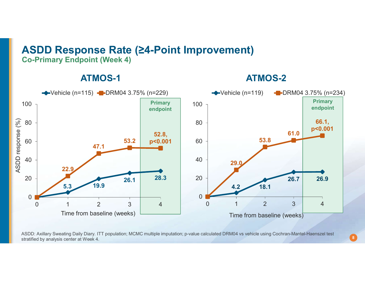## ASDD Response Rate (≥4-Point Improvement) Co-Primary Endpoint (Week 4)

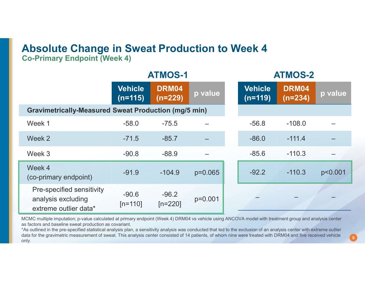# Absolute Change in Sweat Production to Week 4

| <b>Absolute Change in Sweat Production to Week 4</b><br><b>Co-Primary Endpoint (Week 4)</b>                                                                                                                                                                                                                                                                                                                                                                                                                                                                         |                             |                      |           |                             |                    |         |  |
|---------------------------------------------------------------------------------------------------------------------------------------------------------------------------------------------------------------------------------------------------------------------------------------------------------------------------------------------------------------------------------------------------------------------------------------------------------------------------------------------------------------------------------------------------------------------|-----------------------------|----------------------|-----------|-----------------------------|--------------------|---------|--|
|                                                                                                                                                                                                                                                                                                                                                                                                                                                                                                                                                                     |                             | <b>ATMOS-1</b>       |           |                             | <b>ATMOS-2</b>     |         |  |
|                                                                                                                                                                                                                                                                                                                                                                                                                                                                                                                                                                     | <b>Vehicle</b><br>$(n=115)$ | DRM04<br>$(n=229)$   | p value   | <b>Vehicle</b><br>$(n=119)$ | DRM04<br>$(n=234)$ | p value |  |
| <b>Gravimetrically-Measured Sweat Production (mg/5 min)</b>                                                                                                                                                                                                                                                                                                                                                                                                                                                                                                         |                             |                      |           |                             |                    |         |  |
| Week 1                                                                                                                                                                                                                                                                                                                                                                                                                                                                                                                                                              | $-58.0$                     | $-75.5$              |           | $-56.8$                     | $-108.0$           |         |  |
| Week 2                                                                                                                                                                                                                                                                                                                                                                                                                                                                                                                                                              | $-71.5$                     | $-85.7$              |           | $-86.0$                     | $-111.4$           |         |  |
| Week 3                                                                                                                                                                                                                                                                                                                                                                                                                                                                                                                                                              | $-90.8$                     | $-88.9$              |           | $-85.6$                     | $-110.3$           |         |  |
| Week 4<br>(co-primary endpoint)                                                                                                                                                                                                                                                                                                                                                                                                                                                                                                                                     | $-91.9$                     | $-104.9$             | $p=0.065$ | $-92.2$                     | $-110.3$           | p<0.001 |  |
| Pre-specified sensitivity<br>analysis excluding<br>extreme outlier data*                                                                                                                                                                                                                                                                                                                                                                                                                                                                                            | $-90.6$<br>$[n=110]$        | $-96.2$<br>$[n=220]$ | $p=0.001$ |                             |                    |         |  |
| MCMC multiple imputation; p-value calculated at primary endpoint (Week 4) DRM04 vs vehicle using ANCOVA model with treatment group and analysis center<br>as factors and baseline sweat production as covariant.<br>*As outlined in the pre-specified statistical analysis plan, a sensitivity analysis was conducted that led to the exclusion of an analysis center with extreme outlier<br>data for the gravimetric measurement of sweat. This analysis center consisted of 14 patients, of whom nine were treated with DRM04 and five received vehicle<br>only. |                             |                      |           |                             |                    |         |  |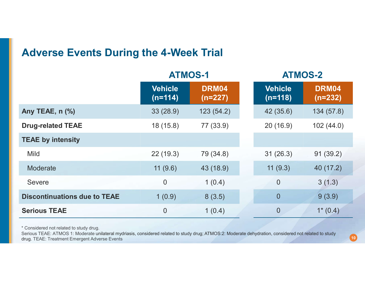## Adverse Events During the 4-Week Trial

| <b>Adverse Events During the 4-Week Trial</b> |                             |                    |                             |                    |  |  |
|-----------------------------------------------|-----------------------------|--------------------|-----------------------------|--------------------|--|--|
|                                               |                             | <b>ATMOS-1</b>     |                             | <b>ATMOS-2</b>     |  |  |
|                                               | <b>Vehicle</b><br>$(n=114)$ | DRM04<br>$(n=227)$ | <b>Vehicle</b><br>$(n=118)$ | DRM04<br>$(n=232)$ |  |  |
| Any TEAE, n (%)                               | 33(28.9)                    | 123(54.2)          | 42 (35.6)                   | 134 (57.8)         |  |  |
| <b>Drug-related TEAE</b>                      | 18(15.8)                    | 77 (33.9)          | 20(16.9)                    | 102(44.0)          |  |  |
| <b>TEAE by intensity</b>                      |                             |                    |                             |                    |  |  |
| <b>Mild</b>                                   | 22(19.3)                    | 79 (34.8)          | 31(26.3)                    | 91(39.2)           |  |  |
| Moderate                                      | 11(9.6)                     | 43 (18.9)          | 11(9.3)                     | 40 (17.2)          |  |  |
| <b>Severe</b>                                 | $\theta$                    | 1(0.4)             | $\overline{0}$              | 3(1.3)             |  |  |
| <b>Discontinuations due to TEAE</b>           | 1(0.9)                      | 8(3.5)             | $\overline{0}$              | 9(3.9)             |  |  |
| <b>Serious TEAE</b>                           | 0                           | 1(0.4)             | $\overline{0}$              | $1*(0.4)$          |  |  |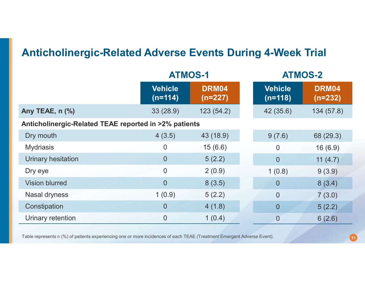# Anticholinergic-Related Adverse Events During 4-Week Trial

| <b>Anticholinergic-Related Adverse Events During 4-Week Trial</b> |                             |                  |                           |                  |  |  |
|-------------------------------------------------------------------|-----------------------------|------------------|---------------------------|------------------|--|--|
|                                                                   |                             | <b>ATMOS-1</b>   |                           | <b>ATMOS-2</b>   |  |  |
|                                                                   | <b>Vehicle</b><br>$(n=114)$ | DRM04<br>(n=227) | <b>Vehicle</b><br>(n=118) | DRM04<br>(n=232) |  |  |
| Any TEAE, n (%)                                                   | 33(28.9)                    | 123(54.2)        | 42 (35.6)                 | 134(57.8)        |  |  |
| Anticholinergic-Related TEAE reported in >2% patients             |                             |                  |                           |                  |  |  |
| Dry mouth                                                         | 4(3.5)                      | 43 (18.9)        | 9(7.6)                    | 68 (29.3)        |  |  |
| <b>Mydriasis</b>                                                  | $\theta$                    | 15(6.6)          | $\overline{0}$            | 16(6.9)          |  |  |
| Urinary hesitation                                                | $\overline{0}$              | 5(2.2)           | $\overline{0}$            | 11 $(4.7)$       |  |  |
| Dry eye                                                           | $\overline{0}$              | 2(0.9)           | 1(0.8)                    | 9(3.9)           |  |  |
| <b>Vision blurred</b>                                             | $\overline{0}$              | 8(3.5)           | $\overline{0}$            | 8(3.4)           |  |  |
| Nasal dryness                                                     | 1(0.9)                      | 5(2.2)           | $\overline{0}$            | 7(3.0)           |  |  |
| Constipation                                                      | $\theta$                    | 4(1.8)           | $\overline{0}$            | 5(2.2)           |  |  |
| Urinary retention                                                 | $\theta$                    | 1(0.4)           | $\overline{0}$            | 6(2.6)           |  |  |